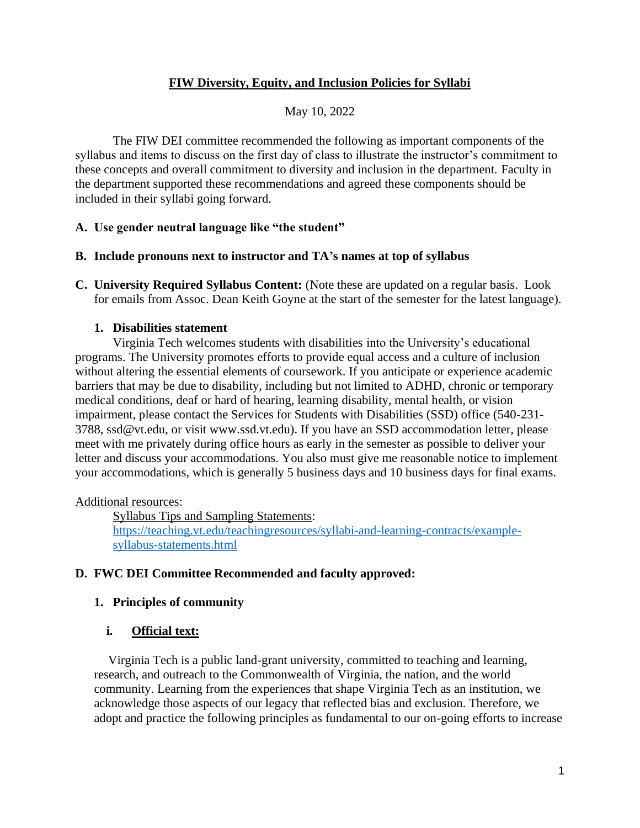## **FIW Diversity, Equity, and Inclusion Policies for Syllabi**

## May 10, 2022

The FIW DEI committee recommended the following as important components of the syllabus and items to discuss on the first day of class to illustrate the instructor's commitment to these concepts and overall commitment to diversity and inclusion in the department. Faculty in the department supported these recommendations and agreed these components should be included in their syllabi going forward.

### **A. Use gender neutral language like "the student"**

### **B. Include pronouns next to instructor and TA's names at top of syllabus**

**C. University Required Syllabus Content:** (Note these are updated on a regular basis. Look for emails from Assoc. Dean Keith Goyne at the start of the semester for the latest language).

### **1. Disabilities statement**

Virginia Tech welcomes students with disabilities into the University's educational programs. The University promotes efforts to provide equal access and a culture of inclusion without altering the essential elements of coursework. If you anticipate or experience academic barriers that may be due to disability, including but not limited to ADHD, chronic or temporary medical conditions, deaf or hard of hearing, learning disability, mental health, or vision impairment, please contact the Services for Students with Disabilities (SSD) office (540-231- 3788, ssd@vt.edu, or visit www.ssd.vt.edu). If you have an SSD accommodation letter, please meet with me privately during office hours as early in the semester as possible to deliver your letter and discuss your accommodations. You also must give me reasonable notice to implement your accommodations, which is generally 5 business days and 10 business days for final exams.

### Additional resources:

Syllabus Tips and Sampling Statements: [https://teaching.vt.edu/teachingresources/syllabi-and-learning-contracts/example](https://teaching.vt.edu/teachingresources/syllabi-and-learning-contracts/example-syllabus-statements.html)[syllabus-statements.html](https://teaching.vt.edu/teachingresources/syllabi-and-learning-contracts/example-syllabus-statements.html)

# **D. FWC DEI Committee Recommended and faculty approved:**

# **1. Principles of community**

### **i. Official text:**

Virginia Tech is a public land-grant university, committed to teaching and learning, research, and outreach to the Commonwealth of Virginia, the nation, and the world community. Learning from the experiences that shape Virginia Tech as an institution, we acknowledge those aspects of our legacy that reflected bias and exclusion. Therefore, we adopt and practice the following principles as fundamental to our on-going efforts to increase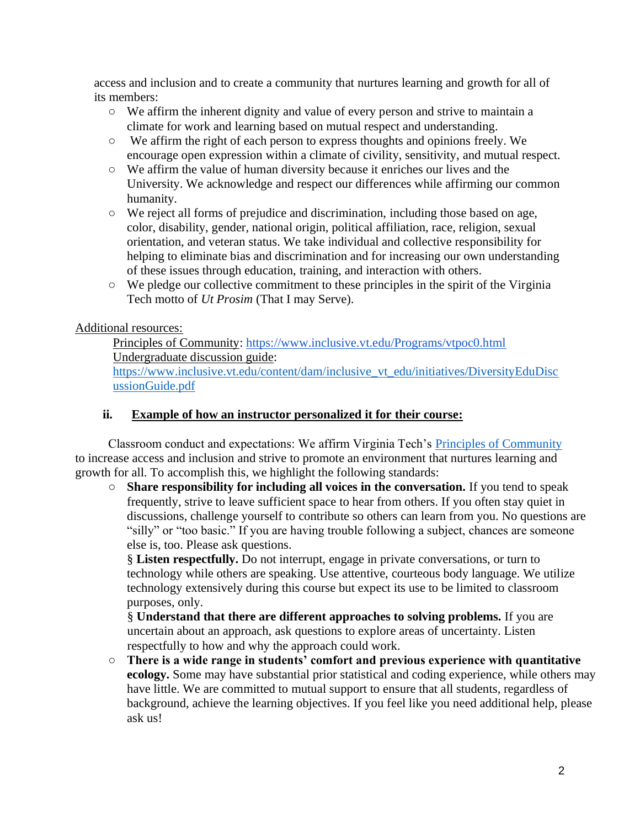access and inclusion and to create a community that nurtures learning and growth for all of its members:

- We affirm the inherent dignity and value of every person and strive to maintain a climate for work and learning based on mutual respect and understanding.
- We affirm the right of each person to express thoughts and opinions freely. We encourage open expression within a climate of civility, sensitivity, and mutual respect.
- We affirm the value of human diversity because it enriches our lives and the University. We acknowledge and respect our differences while affirming our common humanity.
- We reject all forms of prejudice and discrimination, including those based on age, color, disability, gender, national origin, political affiliation, race, religion, sexual orientation, and veteran status. We take individual and collective responsibility for helping to eliminate bias and discrimination and for increasing our own understanding of these issues through education, training, and interaction with others.
- We pledge our collective commitment to these principles in the spirit of the Virginia Tech motto of *Ut Prosim* (That I may Serve).

## Additional resources:

Principles of Community:<https://www.inclusive.vt.edu/Programs/vtpoc0.html> Undergraduate discussion guide:

[https://www.inclusive.vt.edu/content/dam/inclusive\\_vt\\_edu/initiatives/DiversityEduDisc](https://www.inclusive.vt.edu/content/dam/inclusive_vt_edu/initiatives/DiversityEduDiscussionGuide.pdf) [ussionGuide.pdf](https://www.inclusive.vt.edu/content/dam/inclusive_vt_edu/initiatives/DiversityEduDiscussionGuide.pdf)

## **ii. Example of how an instructor personalized it for their course:**

Classroom conduct and expectations: We affirm Virginia Tech's [Principles of Community](https://www.inclusive.vt.edu/Programs/vtpoc0.html) to increase access and inclusion and strive to promote an environment that nurtures learning and growth for all. To accomplish this, we highlight the following standards:

○ **Share responsibility for including all voices in the conversation.** If you tend to speak frequently, strive to leave sufficient space to hear from others. If you often stay quiet in discussions, challenge yourself to contribute so others can learn from you. No questions are "silly" or "too basic." If you are having trouble following a subject, chances are someone else is, too. Please ask questions.

§ **Listen respectfully.** Do not interrupt, engage in private conversations, or turn to technology while others are speaking. Use attentive, courteous body language. We utilize technology extensively during this course but expect its use to be limited to classroom purposes, only.

§ **Understand that there are different approaches to solving problems.** If you are uncertain about an approach, ask questions to explore areas of uncertainty. Listen respectfully to how and why the approach could work.

○ **There is a wide range in students' comfort and previous experience with quantitative ecology.** Some may have substantial prior statistical and coding experience, while others may have little. We are committed to mutual support to ensure that all students, regardless of background, achieve the learning objectives. If you feel like you need additional help, please ask us!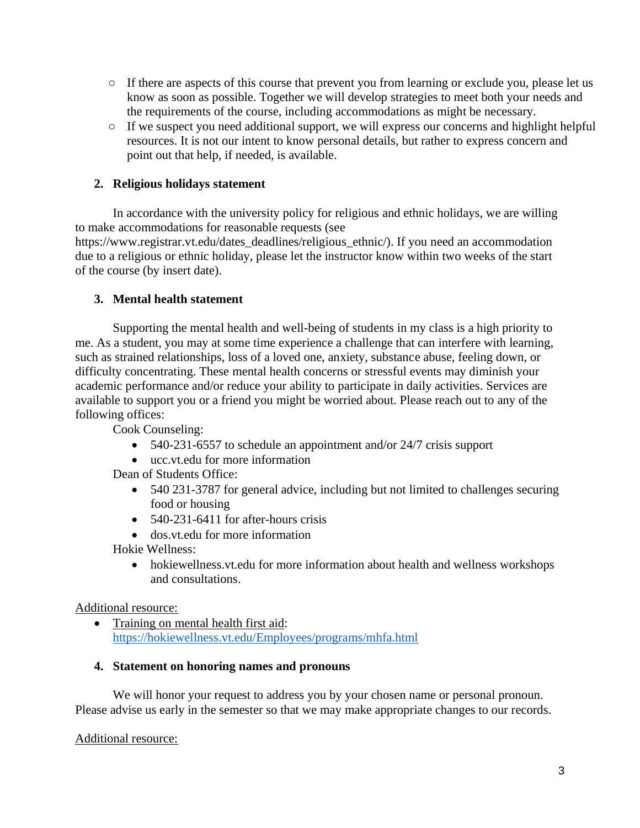- If there are aspects of this course that prevent you from learning or exclude you, please let us know as soon as possible. Together we will develop strategies to meet both your needs and the requirements of the course, including accommodations as might be necessary.
- If we suspect you need additional support, we will express our concerns and highlight helpful resources. It is not our intent to know personal details, but rather to express concern and point out that help, if needed, is available.

## **2. Religious holidays statement**

In accordance with the university policy for religious and ethnic holidays, we are willing to make accommodations for reasonable requests (see https://www.registrar.vt.edu/dates\_deadlines/religious\_ethnic/). If you need an accommodation due to a religious or ethnic holiday, please let the instructor know within two weeks of the start of the course (by insert date).

### **3. Mental health statement**

Supporting the mental health and well-being of students in my class is a high priority to me. As a student, you may at some time experience a challenge that can interfere with learning, such as strained relationships, loss of a loved one, anxiety, substance abuse, feeling down, or difficulty concentrating. These mental health concerns or stressful events may diminish your academic performance and/or reduce your ability to participate in daily activities. Services are available to support you or a friend you might be worried about. Please reach out to any of the following offices:

Cook Counseling:

- 540-231-6557 to schedule an appointment and/or 24/7 crisis support
- ucc.vt.edu for more information

Dean of Students Office:

- 540 231-3787 for general advice, including but not limited to challenges securing food or housing
- 540-231-6411 for after-hours crisis
- dos.vt.edu for more information

Hokie Wellness:

• hokiewellness.vt.edu for more information about health and wellness workshops and consultations.

#### Additional resource:

• Training on mental health first aid: <https://hokiewellness.vt.edu/Employees/programs/mhfa.html>

#### **4. Statement on honoring names and pronouns**

We will honor your request to address you by your chosen name or personal pronoun. Please advise us early in the semester so that we may make appropriate changes to our records.

#### Additional resource: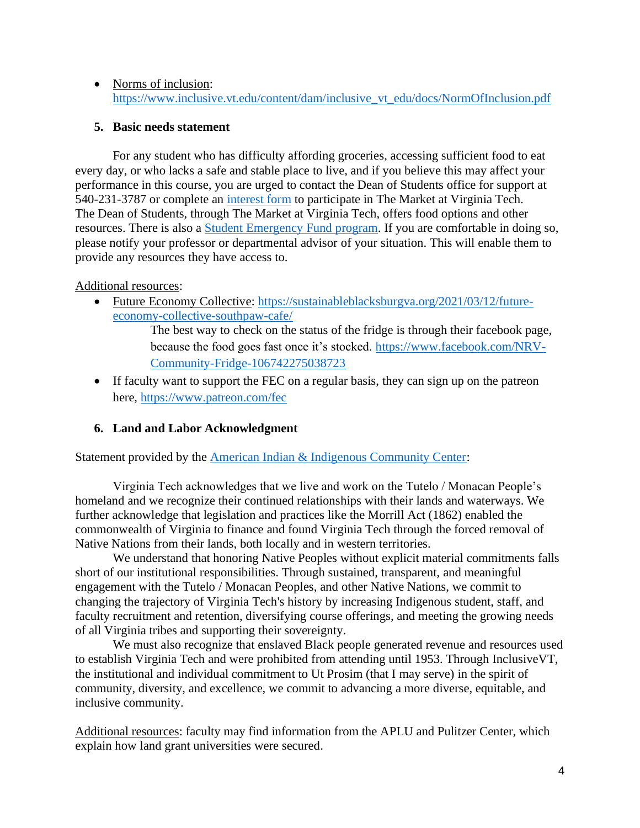• Norms of inclusion: [https://www.inclusive.vt.edu/content/dam/inclusive\\_vt\\_edu/docs/NormOfInclusion.pdf](https://www.inclusive.vt.edu/content/dam/inclusive_vt_edu/docs/NormOfInclusion.pdf)

#### **5. Basic needs statement**

For any student who has difficulty affording groceries, accessing sufficient food to eat every day, or who lacks a safe and stable place to live, and if you believe this may affect your performance in this course, you are urged to contact the Dean of Students office for support at 540-231-3787 or complete an [interest form](https://cm.maxient.com/reportingform.php?VirginiaTech&layout_id=15) to participate in The Market at Virginia Tech. The Dean of Students, through The Market at Virginia Tech, offers food options and other resources. There is also a [Student Emergency Fund program.](https://dos.vt.edu/emergencyfund.html) If you are comfortable in doing so, please notify your professor or departmental advisor of your situation. This will enable them to provide any resources they have access to.

#### Additional resources:

• Future Economy Collective: [https://sustainableblacksburgva.org/2021/03/12/future](https://sustainableblacksburgva.org/2021/03/12/future-economy-collective-southpaw-cafe/)[economy-collective-southpaw-cafe/](https://sustainableblacksburgva.org/2021/03/12/future-economy-collective-southpaw-cafe/)

> The best way to check on the status of the fridge is through their facebook page, because the food goes fast once it's stocked. [https://www.facebook.com/NRV-](https://www.facebook.com/NRV-Community-Fridge-106742275038723)[Community-Fridge-106742275038723](https://www.facebook.com/NRV-Community-Fridge-106742275038723)

• If faculty want to support the FEC on a regular basis, they can sign up on the patreon here, <https://www.patreon.com/fec>

### **6. Land and Labor Acknowledgment**

Statement provided by the [American Indian & Indigenous Community Center:](https://ccc.vt.edu/index/aiicc.html)

Virginia Tech acknowledges that we live and work on the Tutelo / Monacan People's homeland and we recognize their continued relationships with their lands and waterways. We further acknowledge that legislation and practices like the Morrill Act (1862) enabled the commonwealth of Virginia to finance and found Virginia Tech through the forced removal of Native Nations from their lands, both locally and in western territories.

We understand that honoring Native Peoples without explicit material commitments falls short of our institutional responsibilities. Through sustained, transparent, and meaningful engagement with the Tutelo / Monacan Peoples, and other Native Nations, we commit to changing the trajectory of Virginia Tech's history by increasing Indigenous student, staff, and faculty recruitment and retention, diversifying course offerings, and meeting the growing needs of all Virginia tribes and supporting their sovereignty.

We must also recognize that enslaved Black people generated revenue and resources used to establish Virginia Tech and were prohibited from attending until 1953. Through InclusiveVT, the institutional and individual commitment to Ut Prosim (that I may serve) in the spirit of community, diversity, and excellence, we commit to advancing a more diverse, equitable, and inclusive community.

Additional resources: faculty may find information from the APLU and Pulitzer Center, which explain how land grant universities were secured.